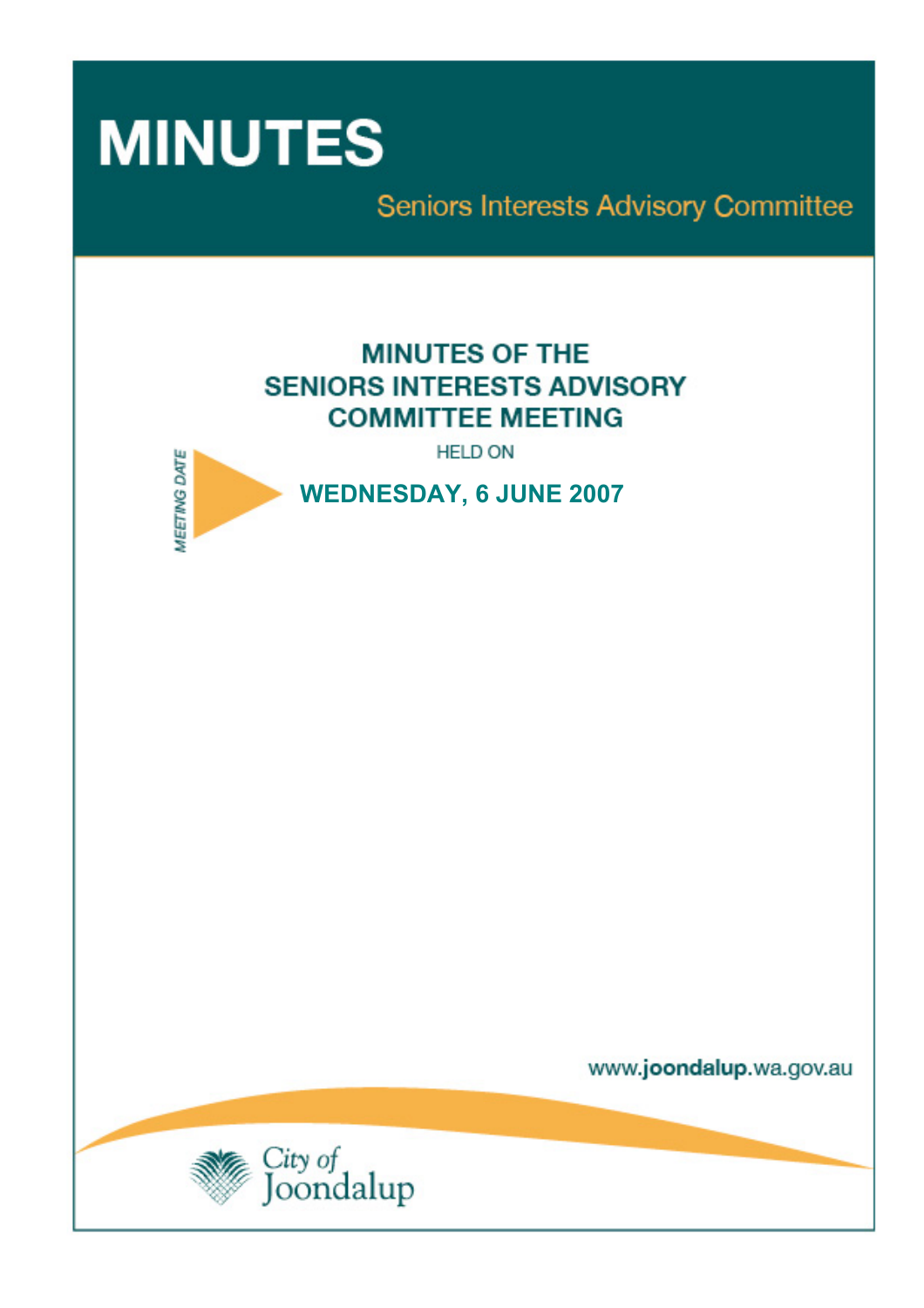

Seniors Interests Advisory Committee

# **MINUTES OF THE SENIORS INTERESTS ADVISORY COMMITTEE MEETING**

**HELD ON** 



www.joondalup.wa.gov.au

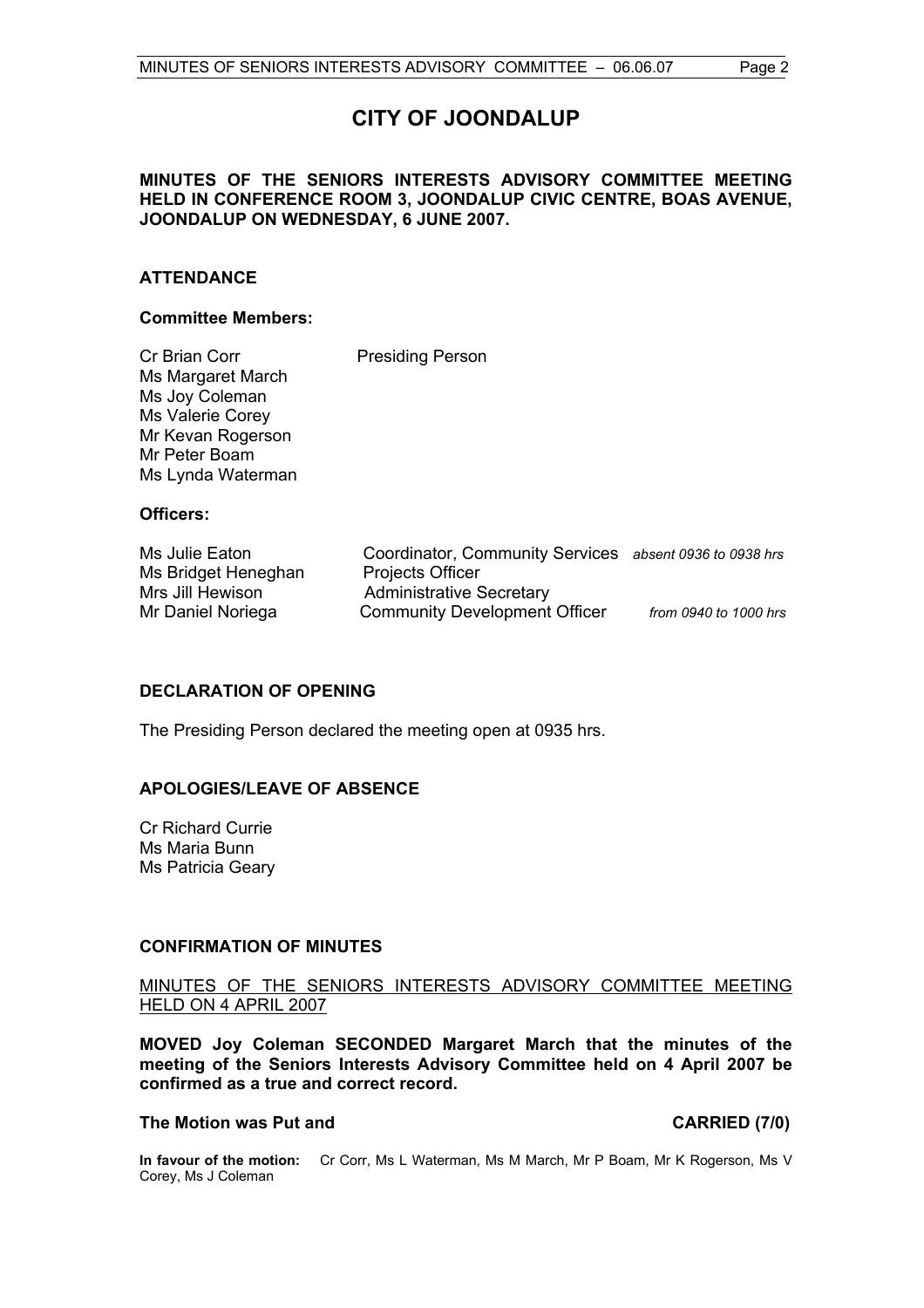## **CITY OF JOONDALUP**

#### **MINUTES OF THE SENIORS INTERESTS ADVISORY COMMITTEE MEETING HELD IN CONFERENCE ROOM 3, JOONDALUP CIVIC CENTRE, BOAS AVENUE, JOONDALUP ON WEDNESDAY, 6 JUNE 2007.**

#### **ATTENDANCE**

#### **Committee Members:**

| Cr Brian Corr<br>Ms Margaret March<br>Ms Joy Coleman<br>Ms Valerie Corey<br>Mr Kevan Rogerson<br>Mr Peter Boam<br>Ms Lynda Waterman | <b>Presiding Person</b>                                                     |  |
|-------------------------------------------------------------------------------------------------------------------------------------|-----------------------------------------------------------------------------|--|
| Officers:                                                                                                                           |                                                                             |  |
| Ms Julie Eaton<br>Me Rridget Heneghan                                                                                               | Coordinator, Community Services absent 0936 to 0938 hrs<br>Projects Officer |  |

| from 0940 to 1000 hrs                                                                                                                                  |
|--------------------------------------------------------------------------------------------------------------------------------------------------------|
| Coordinator, Community Services absent 0936 to 0938 hrs<br><b>Projects Officer</b><br>Administrative Secretary<br><b>Community Development Officer</b> |

### **DECLARATION OF OPENING**

The Presiding Person declared the meeting open at 0935 hrs.

#### **APOLOGIES/LEAVE OF ABSENCE**

Cr Richard Currie Ms Maria Bunn Ms Patricia Geary

#### **CONFIRMATION OF MINUTES**

#### MINUTES OF THE SENIORS INTERESTS ADVISORY COMMITTEE MEETING HELD ON 4 APRIL 2007

**MOVED Joy Coleman SECONDED Margaret March that the minutes of the meeting of the Seniors Interests Advisory Committee held on 4 April 2007 be confirmed as a true and correct record.** 

### **The Motion was Put and CARRIED (7/0)**

**In favour of the motion:** Cr Corr, Ms L Waterman, Ms M March, Mr P Boam, Mr K Rogerson, Ms V Corey, Ms J Coleman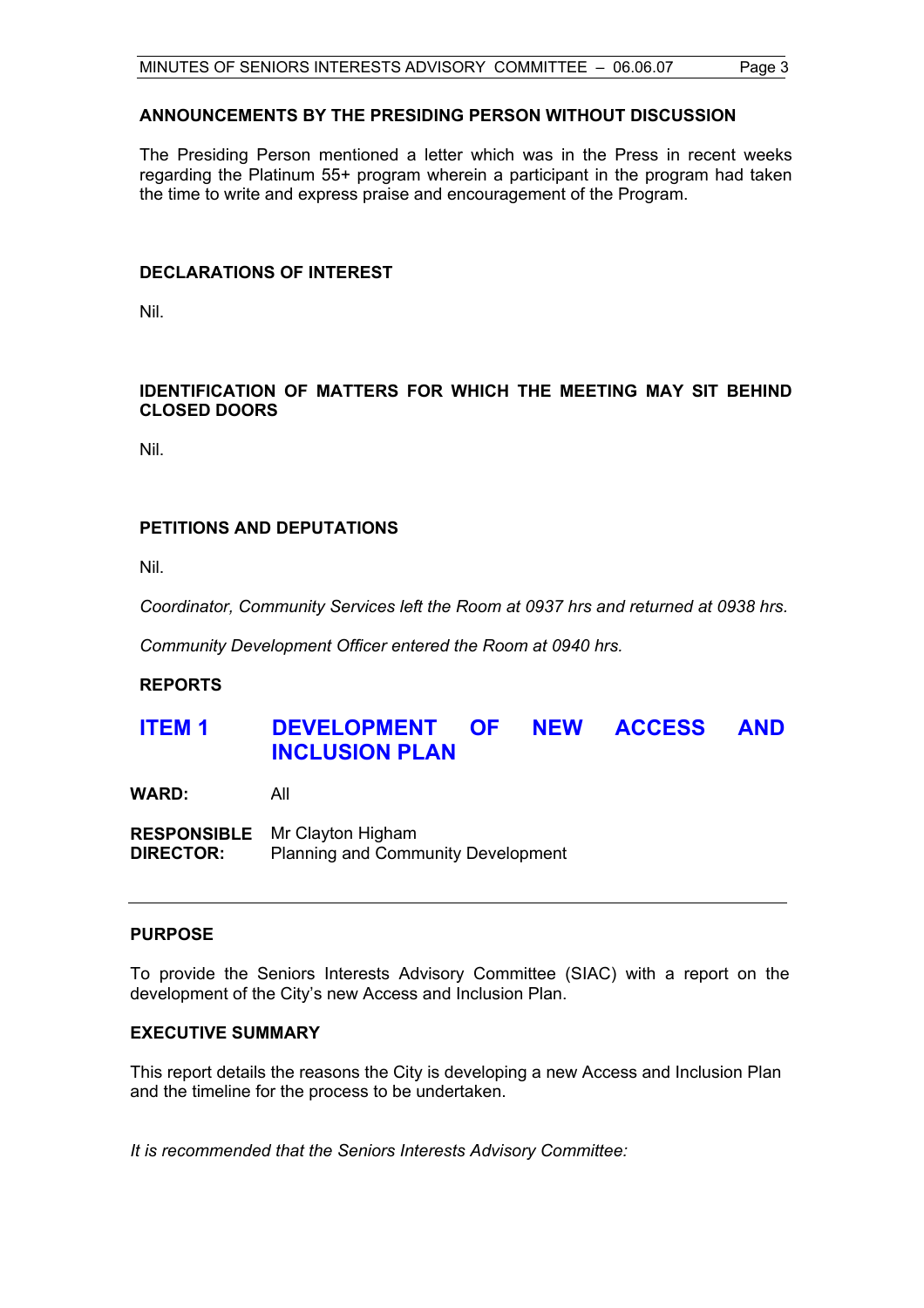### **ANNOUNCEMENTS BY THE PRESIDING PERSON WITHOUT DISCUSSION**

The Presiding Person mentioned a letter which was in the Press in recent weeks regarding the Platinum 55+ program wherein a participant in the program had taken the time to write and express praise and encouragement of the Program.

#### **DECLARATIONS OF INTEREST**

Nil.

#### **IDENTIFICATION OF MATTERS FOR WHICH THE MEETING MAY SIT BEHIND CLOSED DOORS**

Nil.

### **PETITIONS AND DEPUTATIONS**

Nil.

*Coordinator, Community Services left the Room at 0937 hrs and returned at 0938 hrs.* 

*Community Development Officer entered the Room at 0940 hrs.* 

#### **REPORTS**

## **ITEM 1 DEVELOPMENT OF NEW ACCESS AND INCLUSION PLAN**

**WARD:** All

**RESPONSIBLE** Mr Clayton Higham **DIRECTOR:** Planning and Community Development

#### **PURPOSE**

To provide the Seniors Interests Advisory Committee (SIAC) with a report on the development of the City's new Access and Inclusion Plan.

#### **EXECUTIVE SUMMARY**

This report details the reasons the City is developing a new Access and Inclusion Plan and the timeline for the process to be undertaken.

*It is recommended that the Seniors Interests Advisory Committee:*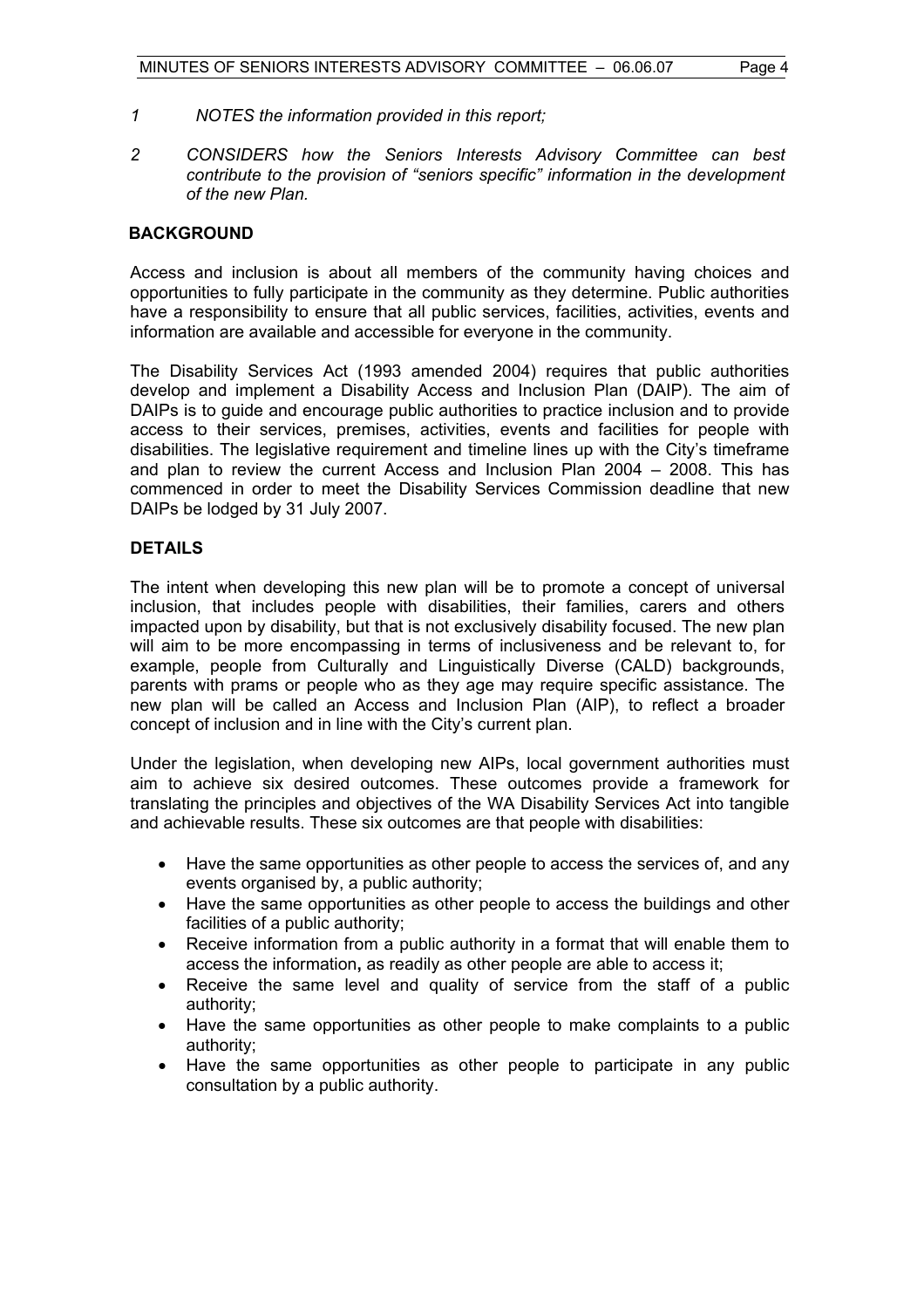- *1 NOTES the information provided in this report;*
- *2 CONSIDERS how the Seniors Interests Advisory Committee can best contribute to the provision of "seniors specific" information in the development of the new Plan.*

#### **BACKGROUND**

Access and inclusion is about all members of the community having choices and opportunities to fully participate in the community as they determine. Public authorities have a responsibility to ensure that all public services, facilities, activities, events and information are available and accessible for everyone in the community.

The Disability Services Act (1993 amended 2004) requires that public authorities develop and implement a Disability Access and Inclusion Plan (DAIP). The aim of DAIPs is to guide and encourage public authorities to practice inclusion and to provide access to their services, premises, activities, events and facilities for people with disabilities. The legislative requirement and timeline lines up with the City's timeframe and plan to review the current Access and Inclusion Plan 2004 – 2008. This has commenced in order to meet the Disability Services Commission deadline that new DAIPs be lodged by 31 July 2007.

#### **DETAILS**

The intent when developing this new plan will be to promote a concept of universal inclusion, that includes people with disabilities, their families, carers and others impacted upon by disability, but that is not exclusively disability focused. The new plan will aim to be more encompassing in terms of inclusiveness and be relevant to, for example, people from Culturally and Linguistically Diverse (CALD) backgrounds, parents with prams or people who as they age may require specific assistance. The new plan will be called an Access and Inclusion Plan (AIP), to reflect a broader concept of inclusion and in line with the City's current plan.

Under the legislation, when developing new AIPs, local government authorities must aim to achieve six desired outcomes. These outcomes provide a framework for translating the principles and objectives of the WA Disability Services Act into tangible and achievable results. These six outcomes are that people with disabilities:

- Have the same opportunities as other people to access the services of, and any events organised by, a public authority;
- Have the same opportunities as other people to access the buildings and other facilities of a public authority;
- Receive information from a public authority in a format that will enable them to access the information**,** as readily as other people are able to access it;
- Receive the same level and quality of service from the staff of a public authority;
- Have the same opportunities as other people to make complaints to a public authority;
- Have the same opportunities as other people to participate in any public consultation by a public authority.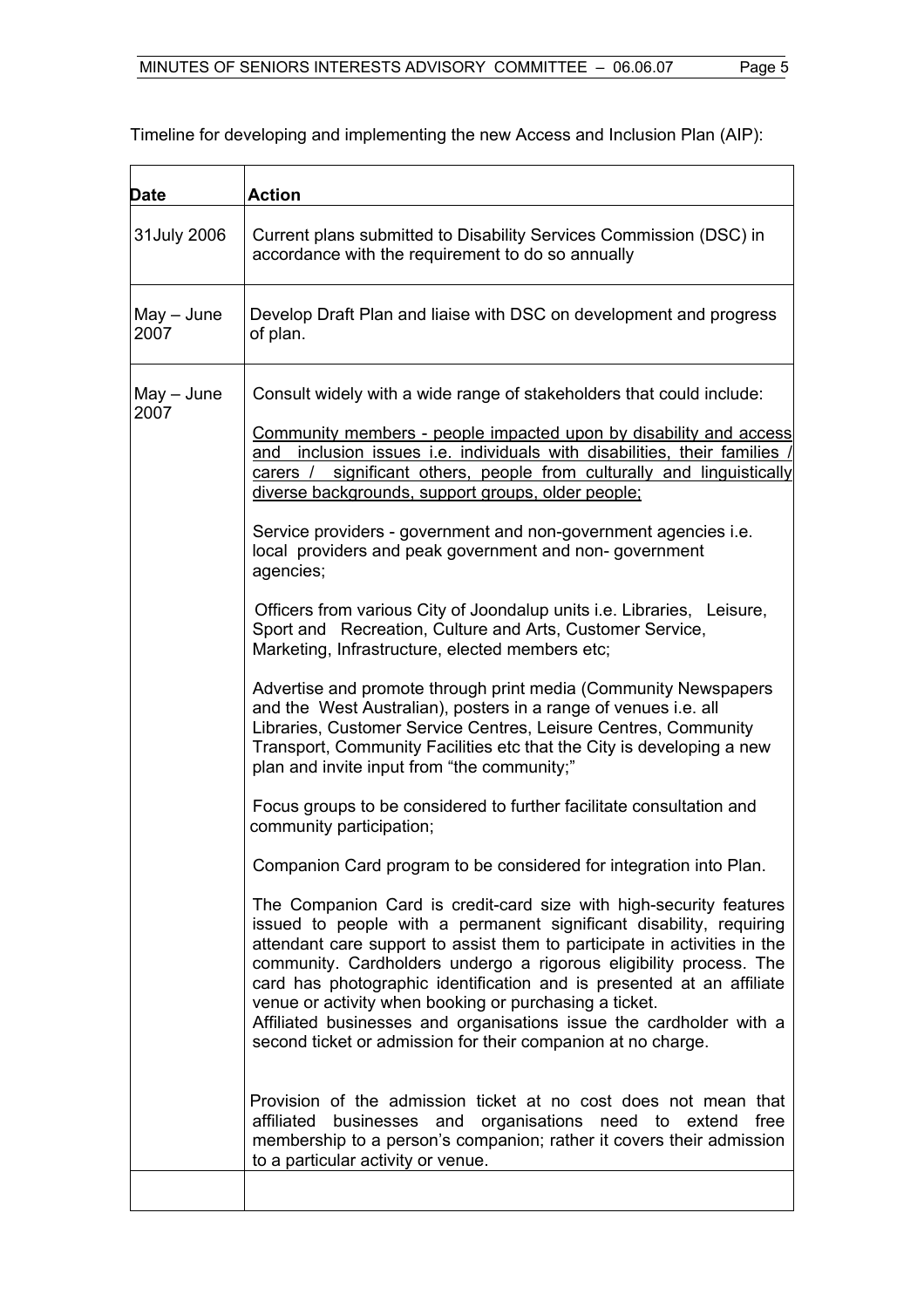| <b>Date</b>          | <b>Action</b>                                                                                                                                                                                                                                                                                                                                                                                                                                                                                                                                                          |
|----------------------|------------------------------------------------------------------------------------------------------------------------------------------------------------------------------------------------------------------------------------------------------------------------------------------------------------------------------------------------------------------------------------------------------------------------------------------------------------------------------------------------------------------------------------------------------------------------|
| 31July 2006          | Current plans submitted to Disability Services Commission (DSC) in<br>accordance with the requirement to do so annually                                                                                                                                                                                                                                                                                                                                                                                                                                                |
| $May - June$<br>2007 | Develop Draft Plan and liaise with DSC on development and progress<br>of plan.                                                                                                                                                                                                                                                                                                                                                                                                                                                                                         |
| $May - June$<br>2007 | Consult widely with a wide range of stakeholders that could include:<br>Community members - people impacted upon by disability and access                                                                                                                                                                                                                                                                                                                                                                                                                              |
|                      | and inclusion issues <i>i.e.</i> individuals with disabilities, their families<br>carers / significant others, people from culturally and linguistically<br>diverse backgrounds, support groups, older people;                                                                                                                                                                                                                                                                                                                                                         |
|                      | Service providers - government and non-government agencies i.e.<br>local providers and peak government and non-government<br>agencies;                                                                                                                                                                                                                                                                                                                                                                                                                                 |
|                      | Officers from various City of Joondalup units i.e. Libraries, Leisure,<br>Sport and Recreation, Culture and Arts, Customer Service,<br>Marketing, Infrastructure, elected members etc;                                                                                                                                                                                                                                                                                                                                                                                 |
|                      | Advertise and promote through print media (Community Newspapers<br>and the West Australian), posters in a range of venues i.e. all<br>Libraries, Customer Service Centres, Leisure Centres, Community<br>Transport, Community Facilities etc that the City is developing a new<br>plan and invite input from "the community;"                                                                                                                                                                                                                                          |
|                      | Focus groups to be considered to further facilitate consultation and<br>community participation;                                                                                                                                                                                                                                                                                                                                                                                                                                                                       |
|                      | Companion Card program to be considered for integration into Plan.                                                                                                                                                                                                                                                                                                                                                                                                                                                                                                     |
|                      | The Companion Card is credit-card size with high-security features<br>issued to people with a permanent significant disability, requiring<br>attendant care support to assist them to participate in activities in the<br>community. Cardholders undergo a rigorous eligibility process. The<br>card has photographic identification and is presented at an affiliate<br>venue or activity when booking or purchasing a ticket.<br>Affiliated businesses and organisations issue the cardholder with a<br>second ticket or admission for their companion at no charge. |
|                      | Provision of the admission ticket at no cost does not mean that<br>affiliated<br>businesses and organisations need to extend<br>free<br>membership to a person's companion; rather it covers their admission<br>to a particular activity or venue.                                                                                                                                                                                                                                                                                                                     |
|                      |                                                                                                                                                                                                                                                                                                                                                                                                                                                                                                                                                                        |

Timeline for developing and implementing the new Access and Inclusion Plan (AIP):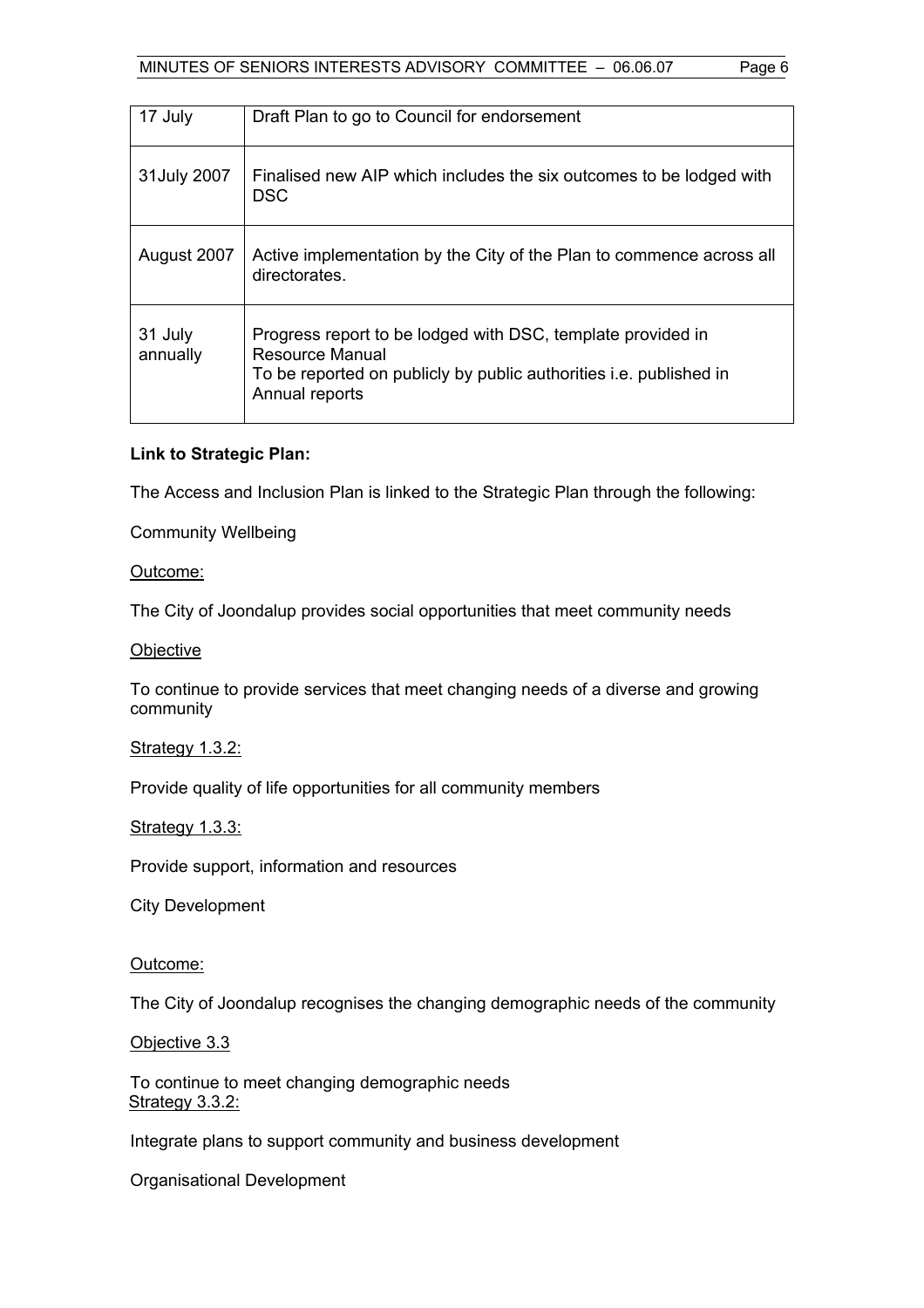| 17 July             | Draft Plan to go to Council for endorsement                                                                                                                            |
|---------------------|------------------------------------------------------------------------------------------------------------------------------------------------------------------------|
| 31July 2007         | Finalised new AIP which includes the six outcomes to be lodged with<br><b>DSC</b>                                                                                      |
| August 2007         | Active implementation by the City of the Plan to commence across all<br>directorates.                                                                                  |
| 31 July<br>annually | Progress report to be lodged with DSC, template provided in<br>Resource Manual<br>To be reported on publicly by public authorities i.e. published in<br>Annual reports |

### **Link to Strategic Plan:**

The Access and Inclusion Plan is linked to the Strategic Plan through the following:

Community Wellbeing

#### Outcome:

The City of Joondalup provides social opportunities that meet community needs

#### **Objective**

To continue to provide services that meet changing needs of a diverse and growing community

#### Strategy 1.3.2:

Provide quality of life opportunities for all community members

#### Strategy 1.3.3:

Provide support, information and resources

City Development

#### Outcome:

The City of Joondalup recognises the changing demographic needs of the community

Objective 3.3

To continue to meet changing demographic needs Strategy 3.3.2:

Integrate plans to support community and business development

Organisational Development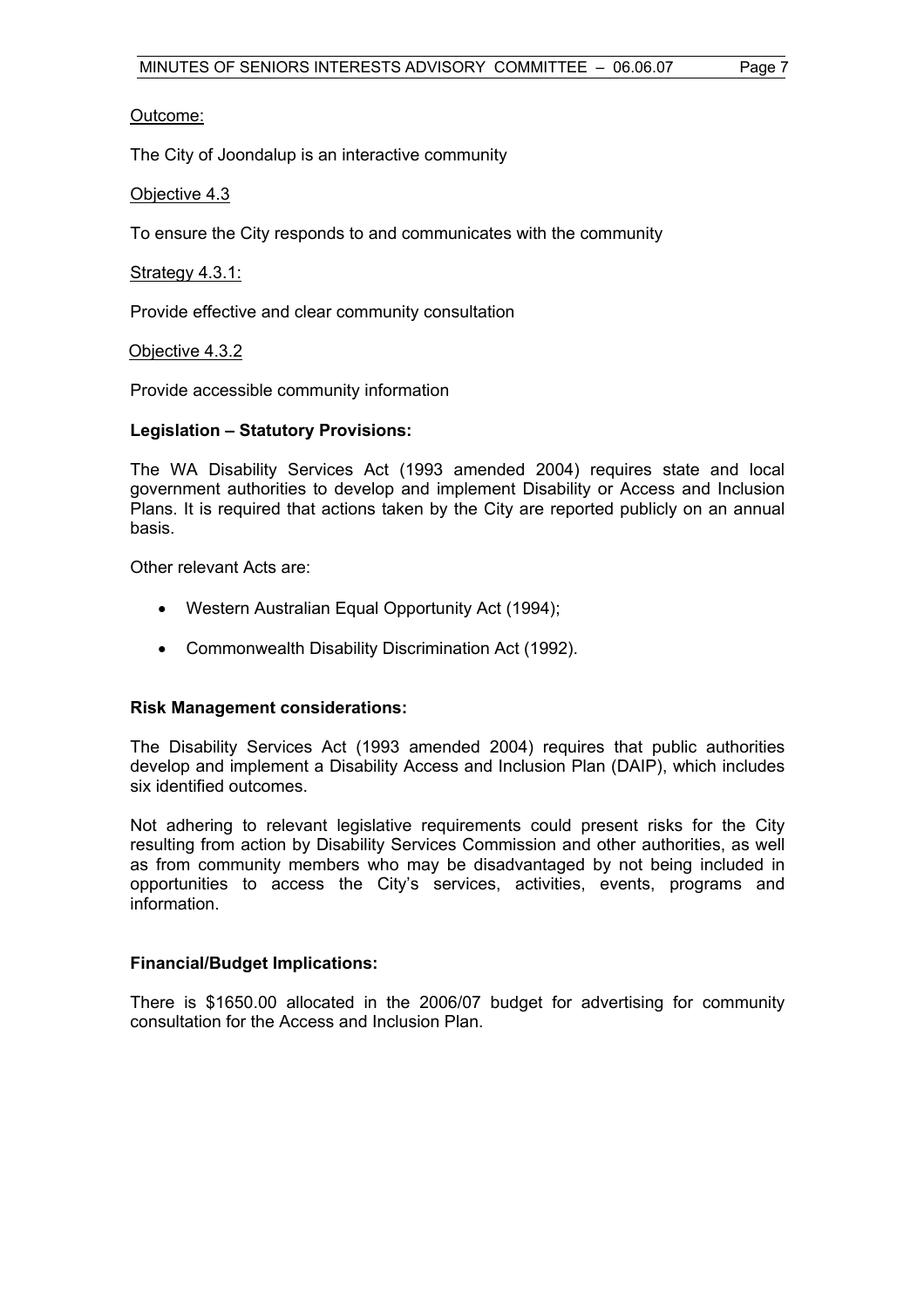#### Outcome:

The City of Joondalup is an interactive community

#### Objective 4.3

To ensure the City responds to and communicates with the community

#### Strategy 4.3.1:

Provide effective and clear community consultation

#### Objective 4.3.2

Provide accessible community information

#### **Legislation – Statutory Provisions:**

The WA Disability Services Act (1993 amended 2004) requires state and local government authorities to develop and implement Disability or Access and Inclusion Plans. It is required that actions taken by the City are reported publicly on an annual basis.

Other relevant Acts are:

- Western Australian Equal Opportunity Act (1994);
- Commonwealth Disability Discrimination Act (1992).

#### **Risk Management considerations:**

The Disability Services Act (1993 amended 2004) requires that public authorities develop and implement a Disability Access and Inclusion Plan (DAIP), which includes six identified outcomes.

Not adhering to relevant legislative requirements could present risks for the City resulting from action by Disability Services Commission and other authorities, as well as from community members who may be disadvantaged by not being included in opportunities to access the City's services, activities, events, programs and information.

#### **Financial/Budget Implications:**

There is \$1650.00 allocated in the 2006/07 budget for advertising for community consultation for the Access and Inclusion Plan.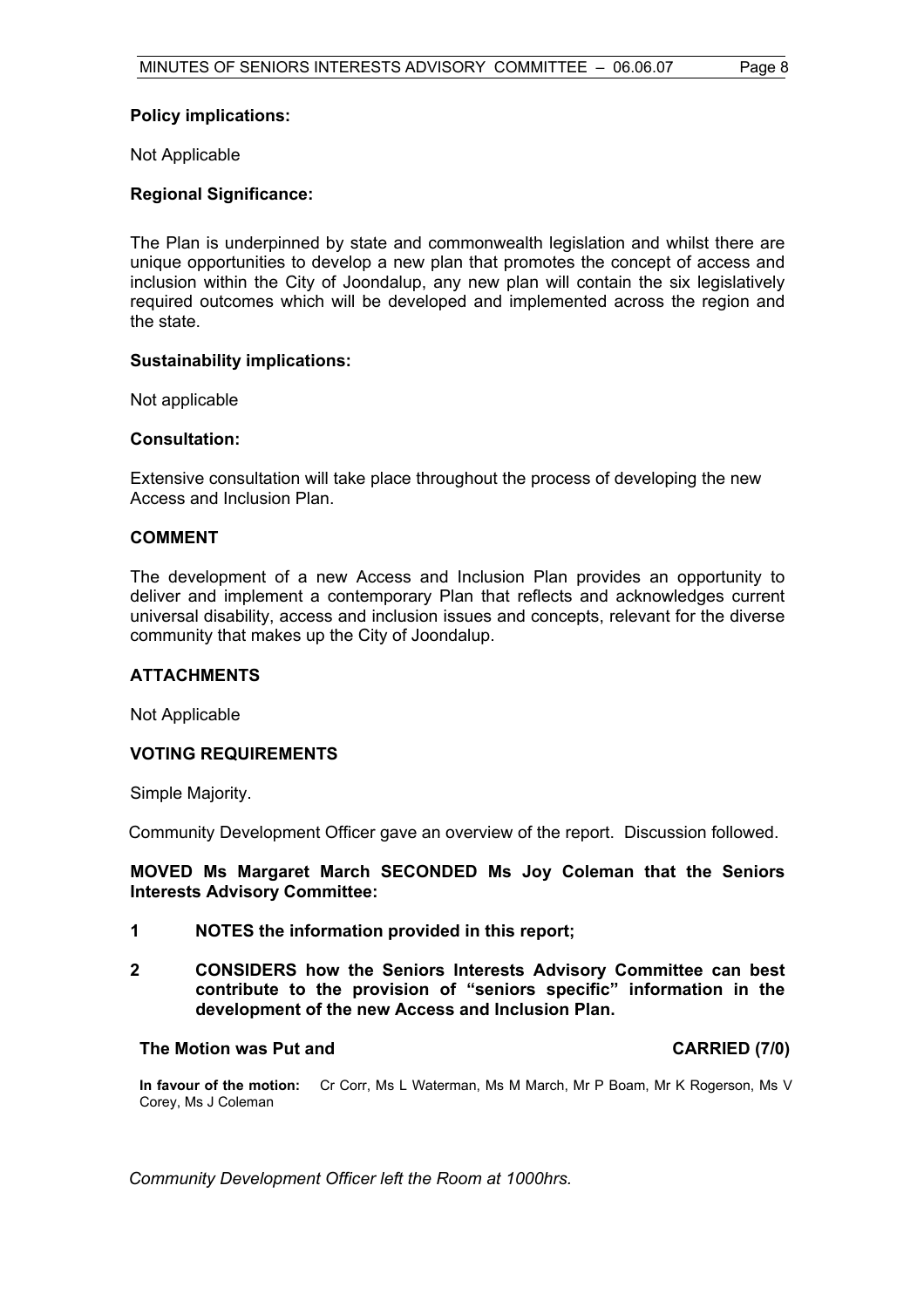#### **Policy implications:**

Not Applicable

#### **Regional Significance:**

The Plan is underpinned by state and commonwealth legislation and whilst there are unique opportunities to develop a new plan that promotes the concept of access and inclusion within the City of Joondalup, any new plan will contain the six legislatively required outcomes which will be developed and implemented across the region and the state.

#### **Sustainability implications:**

Not applicable

#### **Consultation:**

Extensive consultation will take place throughout the process of developing the new Access and Inclusion Plan.

#### **COMMENT**

The development of a new Access and Inclusion Plan provides an opportunity to deliver and implement a contemporary Plan that reflects and acknowledges current universal disability, access and inclusion issues and concepts, relevant for the diverse community that makes up the City of Joondalup.

#### **ATTACHMENTS**

Not Applicable

#### **VOTING REQUIREMENTS**

Simple Majority.

Community Development Officer gave an overview of the report. Discussion followed.

#### **MOVED Ms Margaret March SECONDED Ms Joy Coleman that the Seniors Interests Advisory Committee:**

- **1 NOTES the information provided in this report;**
- **2 CONSIDERS how the Seniors Interests Advisory Committee can best contribute to the provision of "seniors specific" information in the development of the new Access and Inclusion Plan.**

#### **The Motion was Put and CARRIED (7/0)**

**In favour of the motion:** Cr Corr, Ms L Waterman, Ms M March, Mr P Boam, Mr K Rogerson, Ms V Corey, Ms J Coleman

*Community Development Officer left the Room at 1000hrs.*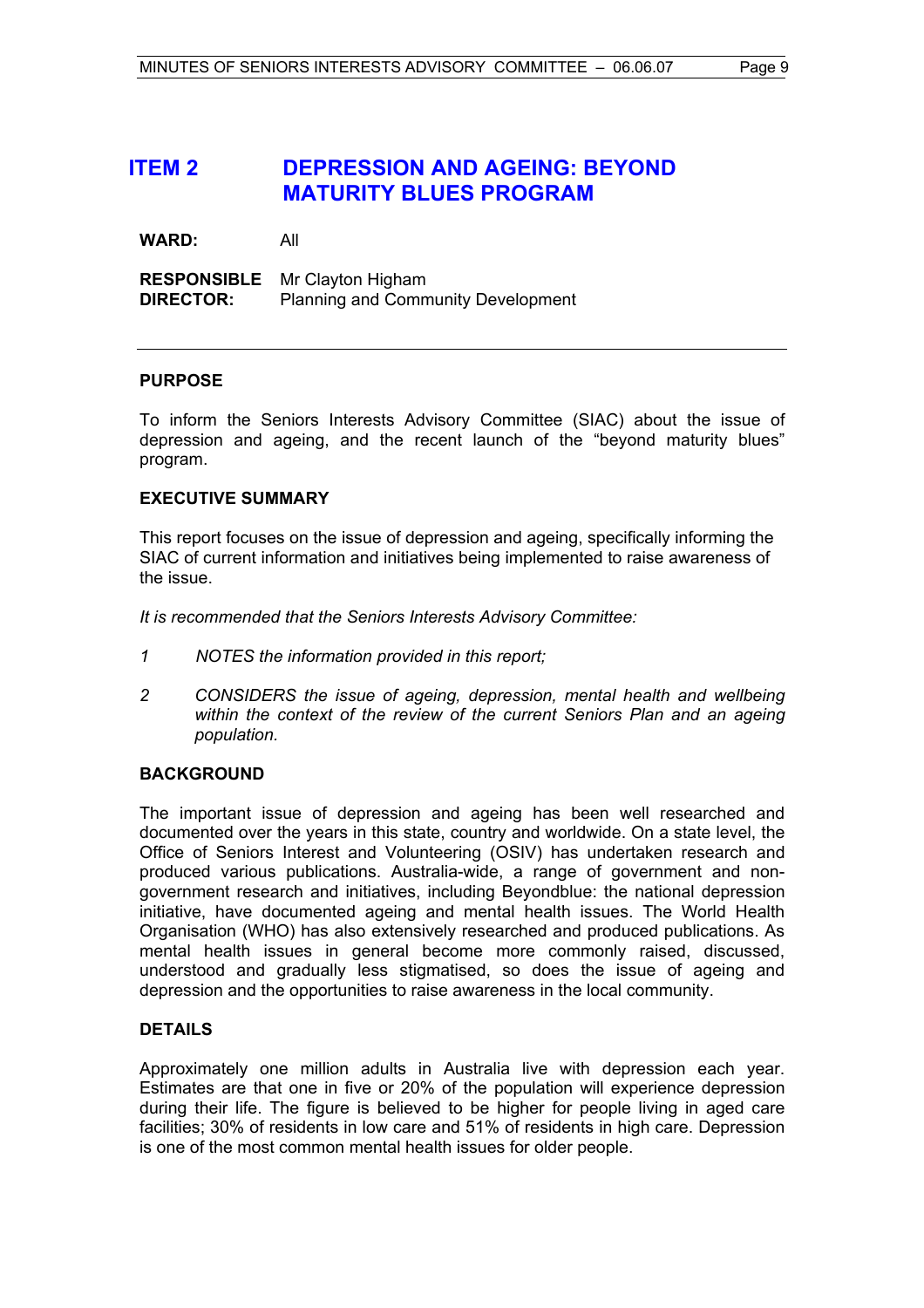## **ITEM 2 DEPRESSION AND AGEING: BEYOND MATURITY BLUES PROGRAM**

**WARD:** All

**RESPONSIBLE** Mr Clayton Higham<br>**DIRECTOR:** Planning and Comm Planning and Community Development

#### **PURPOSE**

To inform the Seniors Interests Advisory Committee (SIAC) about the issue of depression and ageing, and the recent launch of the "beyond maturity blues" program.

#### **EXECUTIVE SUMMARY**

This report focuses on the issue of depression and ageing, specifically informing the SIAC of current information and initiatives being implemented to raise awareness of the issue.

*It is recommended that the Seniors Interests Advisory Committee:* 

- *1 NOTES the information provided in this report;*
- *2 CONSIDERS the issue of ageing, depression, mental health and wellbeing within the context of the review of the current Seniors Plan and an ageing population.*

#### **BACKGROUND**

The important issue of depression and ageing has been well researched and documented over the years in this state, country and worldwide. On a state level, the Office of Seniors Interest and Volunteering (OSIV) has undertaken research and produced various publications. Australia-wide, a range of government and nongovernment research and initiatives, including Beyondblue: the national depression initiative, have documented ageing and mental health issues. The World Health Organisation (WHO) has also extensively researched and produced publications. As mental health issues in general become more commonly raised, discussed, understood and gradually less stigmatised, so does the issue of ageing and depression and the opportunities to raise awareness in the local community.

#### **DETAILS**

Approximately one million adults in Australia live with depression each year. Estimates are that one in five or 20% of the population will experience depression during their life. The figure is believed to be higher for people living in aged care facilities; 30% of residents in low care and 51% of residents in high care. Depression is one of the most common mental health issues for older people.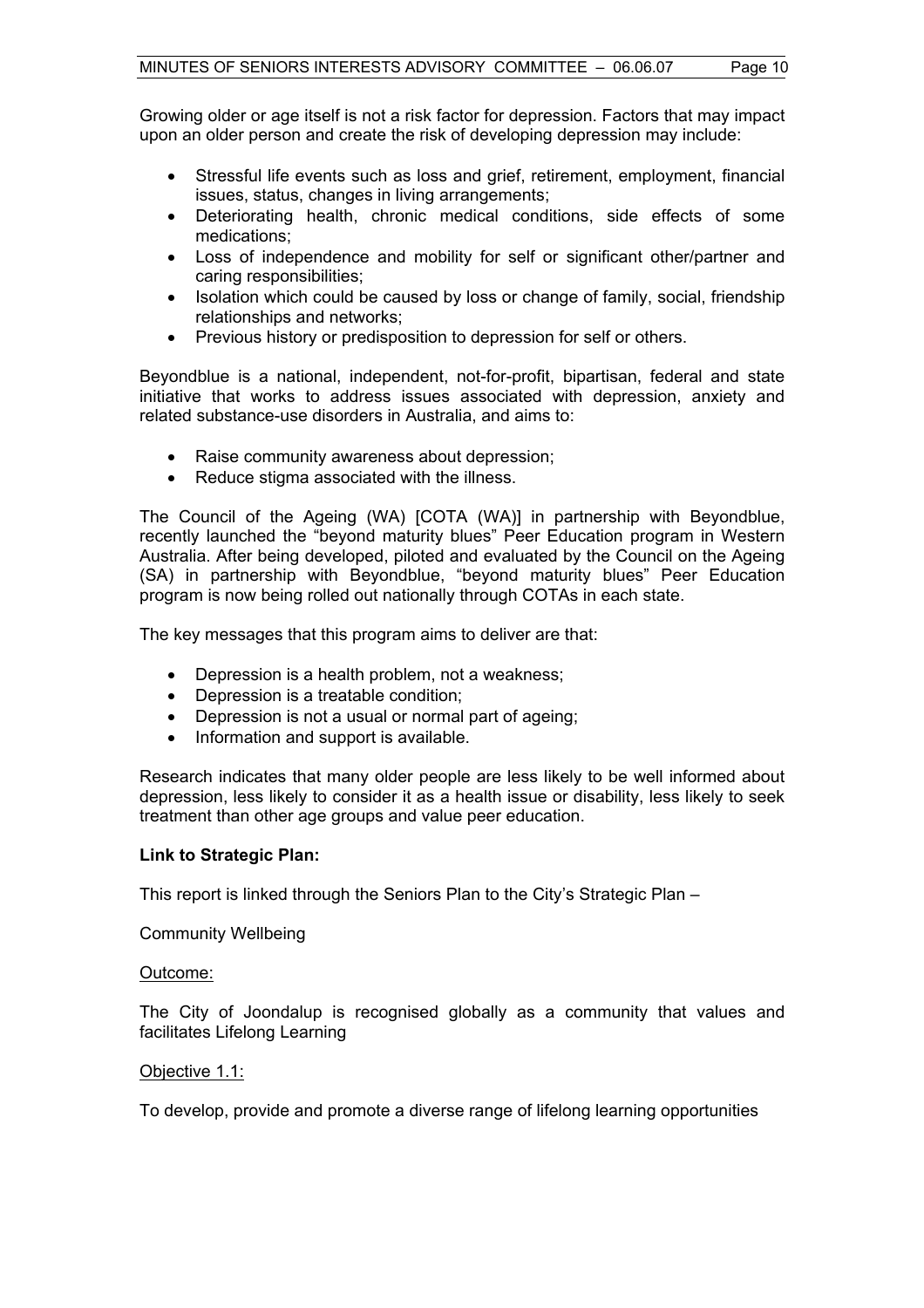Growing older or age itself is not a risk factor for depression. Factors that may impact upon an older person and create the risk of developing depression may include:

- Stressful life events such as loss and grief, retirement, employment, financial issues, status, changes in living arrangements;
- Deteriorating health, chronic medical conditions, side effects of some medications;
- Loss of independence and mobility for self or significant other/partner and caring responsibilities;
- Isolation which could be caused by loss or change of family, social, friendship relationships and networks;
- Previous history or predisposition to depression for self or others.

Beyondblue is a national, independent, not-for-profit, bipartisan, federal and state initiative that works to address issues associated with depression, anxiety and related substance-use disorders in Australia, and aims to:

- Raise community awareness about depression;
- Reduce stigma associated with the illness.

The Council of the Ageing (WA) [COTA (WA)] in partnership with Beyondblue, recently launched the "beyond maturity blues" Peer Education program in Western Australia. After being developed, piloted and evaluated by the Council on the Ageing (SA) in partnership with Beyondblue, "beyond maturity blues" Peer Education program is now being rolled out nationally through COTAs in each state.

The key messages that this program aims to deliver are that:

- Depression is a health problem, not a weakness;
- Depression is a treatable condition;
- Depression is not a usual or normal part of ageing;
- Information and support is available.

Research indicates that many older people are less likely to be well informed about depression, less likely to consider it as a health issue or disability, less likely to seek treatment than other age groups and value peer education.

#### **Link to Strategic Plan:**

This report is linked through the Seniors Plan to the City's Strategic Plan –

Community Wellbeing

#### Outcome:

The City of Joondalup is recognised globally as a community that values and facilitates Lifelong Learning

#### Objective 1.1:

To develop, provide and promote a diverse range of lifelong learning opportunities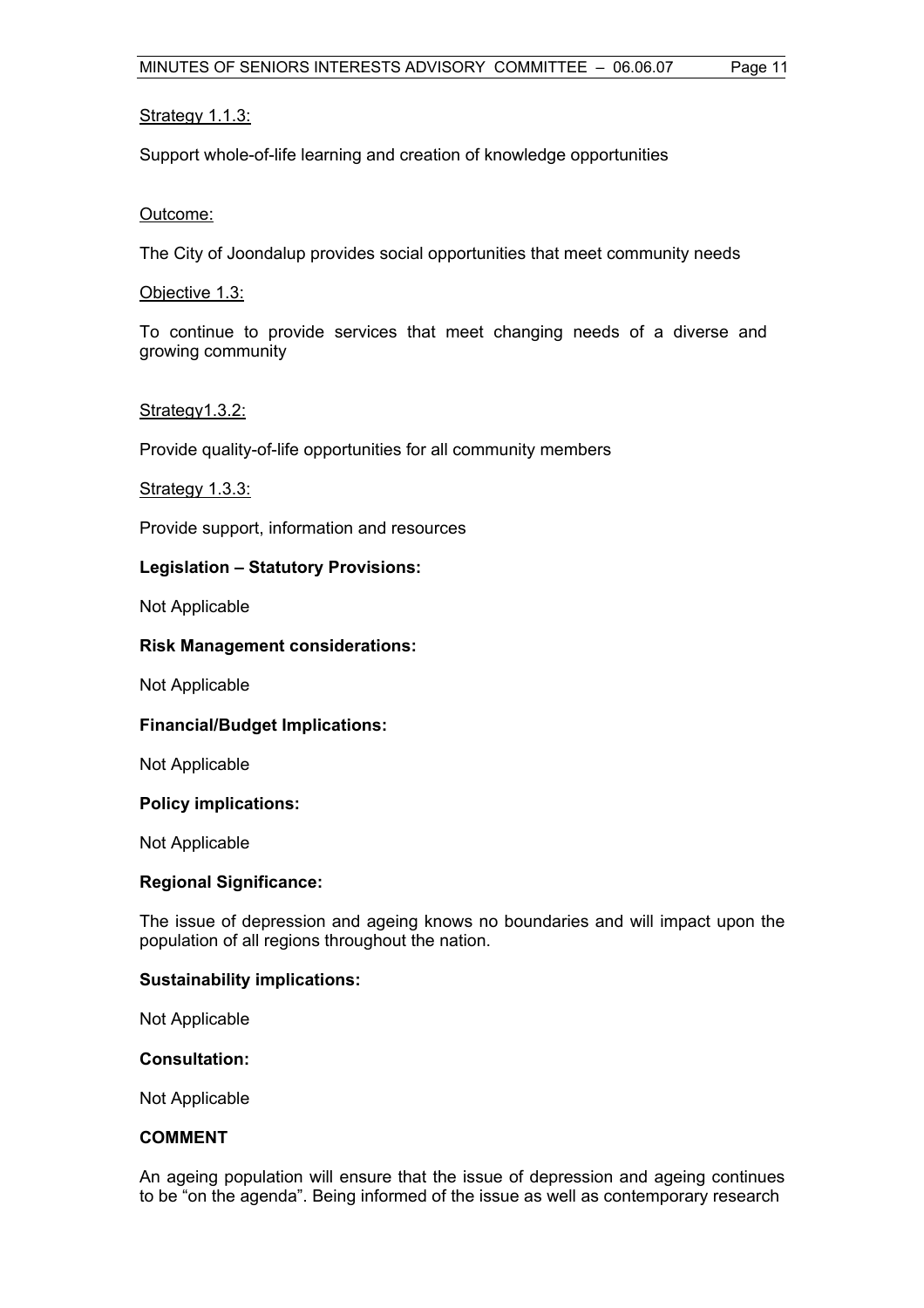#### Strategy 1.1.3:

Support whole-of-life learning and creation of knowledge opportunities

#### Outcome:

The City of Joondalup provides social opportunities that meet community needs

Objective 1.3:

To continue to provide services that meet changing needs of a diverse and growing community

#### Strategy1.3.2:

Provide quality-of-life opportunities for all community members

#### Strategy 1.3.3:

Provide support, information and resources

#### **Legislation – Statutory Provisions:**

Not Applicable

#### **Risk Management considerations:**

Not Applicable

#### **Financial/Budget Implications:**

Not Applicable

#### **Policy implications:**

Not Applicable

#### **Regional Significance:**

The issue of depression and ageing knows no boundaries and will impact upon the population of all regions throughout the nation.

#### **Sustainability implications:**

Not Applicable

#### **Consultation:**

Not Applicable

#### **COMMENT**

An ageing population will ensure that the issue of depression and ageing continues to be "on the agenda". Being informed of the issue as well as contemporary research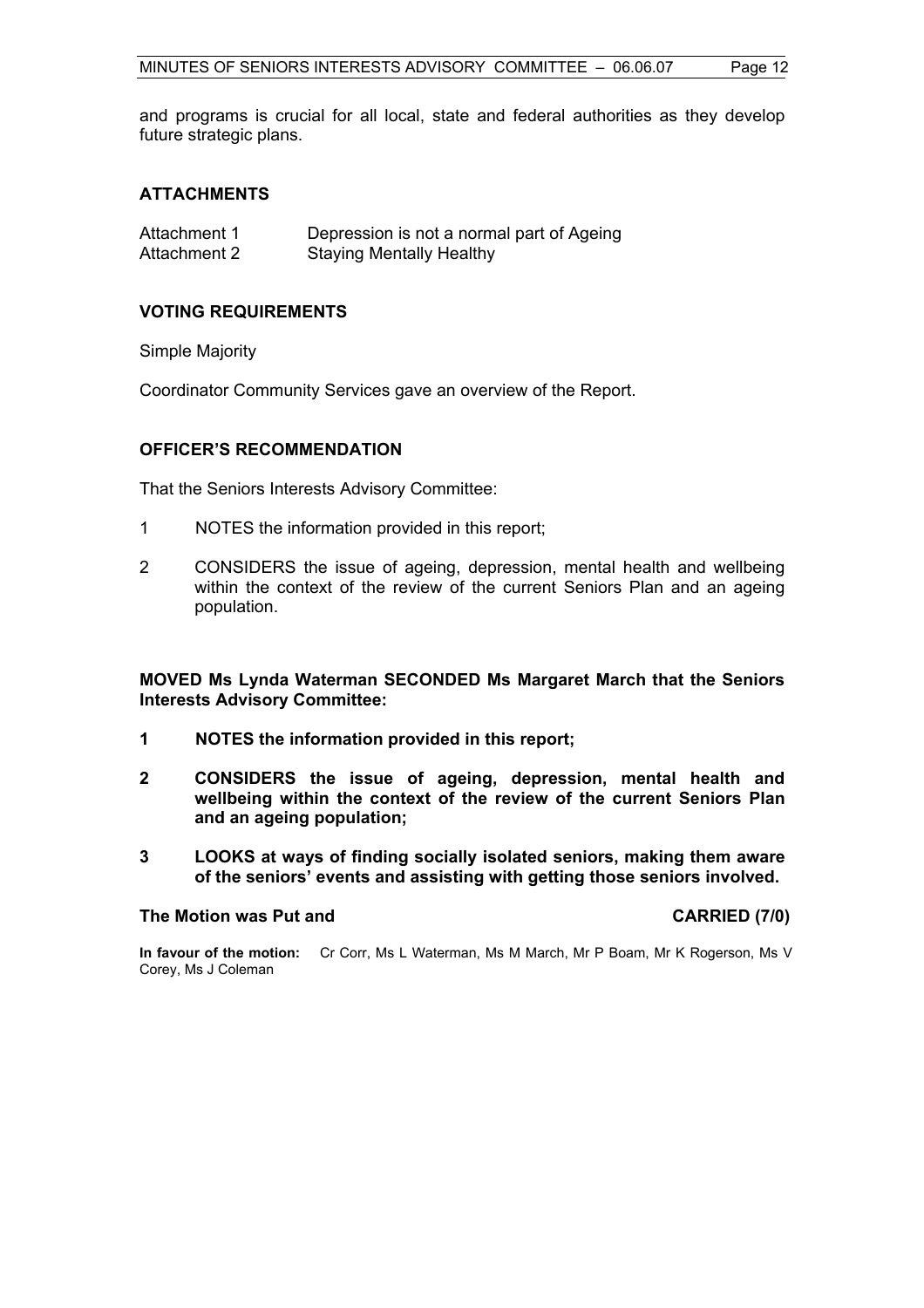and programs is crucial for all local, state and federal authorities as they develop future strategic plans.

#### **ATTACHMENTS**

| Attachment 1 | Depression is not a normal part of Ageing |
|--------------|-------------------------------------------|
| Attachment 2 | <b>Staying Mentally Healthy</b>           |

#### **VOTING REQUIREMENTS**

#### Simple Majority

Coordinator Community Services gave an overview of the Report.

#### **OFFICER'S RECOMMENDATION**

That the Seniors Interests Advisory Committee:

- 1 NOTES the information provided in this report;
- 2 CONSIDERS the issue of ageing, depression, mental health and wellbeing within the context of the review of the current Seniors Plan and an ageing population.

**MOVED Ms Lynda Waterman SECONDED Ms Margaret March that the Seniors Interests Advisory Committee:** 

- **1 NOTES the information provided in this report;**
- **2 CONSIDERS the issue of ageing, depression, mental health and wellbeing within the context of the review of the current Seniors Plan and an ageing population;**
- **3 LOOKS at ways of finding socially isolated seniors, making them aware of the seniors' events and assisting with getting those seniors involved.**

#### **The Motion was Put and CARRIED (7/0)**

**In favour of the motion:** Cr Corr, Ms L Waterman, Ms M March, Mr P Boam, Mr K Rogerson, Ms V Corey, Ms J Coleman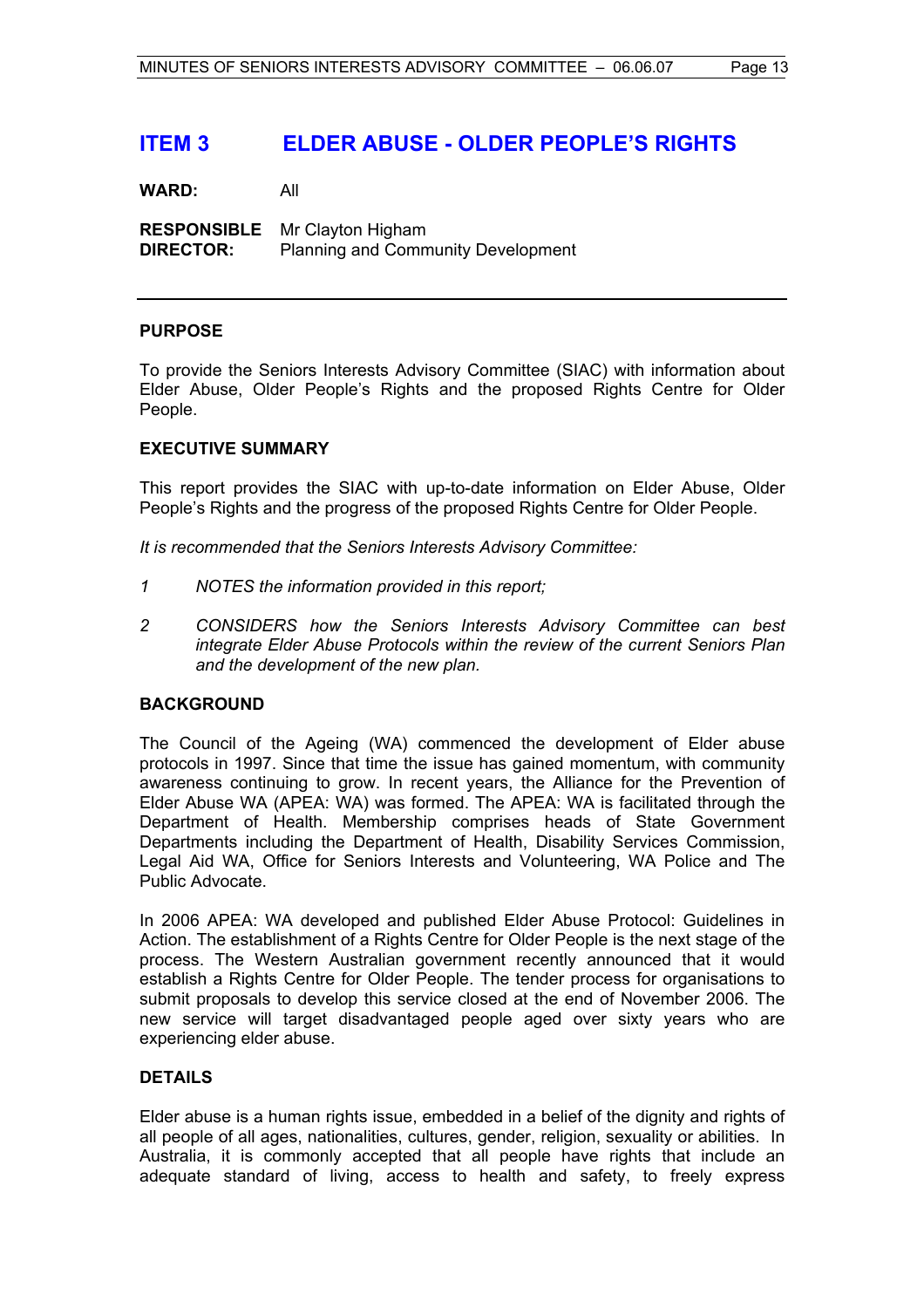## **ITEM 3 ELDER ABUSE - OLDER PEOPLE'S RIGHTS**

**WARD:** All

**RESPONSIBLE** Mr Clayton Higham **DIRECTOR:** Planning and Community Development

#### **PURPOSE**

To provide the Seniors Interests Advisory Committee (SIAC) with information about Elder Abuse, Older People's Rights and the proposed Rights Centre for Older People.

#### **EXECUTIVE SUMMARY**

This report provides the SIAC with up-to-date information on Elder Abuse, Older People's Rights and the progress of the proposed Rights Centre for Older People.

*It is recommended that the Seniors Interests Advisory Committee:*

- *1 NOTES the information provided in this report;*
- *2 CONSIDERS how the Seniors Interests Advisory Committee can best integrate Elder Abuse Protocols within the review of the current Seniors Plan and the development of the new plan.*

#### **BACKGROUND**

The Council of the Ageing (WA) commenced the development of Elder abuse protocols in 1997. Since that time the issue has gained momentum, with community awareness continuing to grow. In recent years, the Alliance for the Prevention of Elder Abuse WA (APEA: WA) was formed. The APEA: WA is facilitated through the Department of Health. Membership comprises heads of State Government Departments including the Department of Health, Disability Services Commission, Legal Aid WA, Office for Seniors Interests and Volunteering, WA Police and The Public Advocate.

In 2006 APEA: WA developed and published Elder Abuse Protocol: Guidelines in Action. The establishment of a Rights Centre for Older People is the next stage of the process. The Western Australian government recently announced that it would establish a Rights Centre for Older People. The tender process for organisations to submit proposals to develop this service closed at the end of November 2006. The new service will target disadvantaged people aged over sixty years who are experiencing elder abuse.

#### **DETAILS**

Elder abuse is a human rights issue, embedded in a belief of the dignity and rights of all people of all ages, nationalities, cultures, gender, religion, sexuality or abilities. In Australia, it is commonly accepted that all people have rights that include an adequate standard of living, access to health and safety, to freely express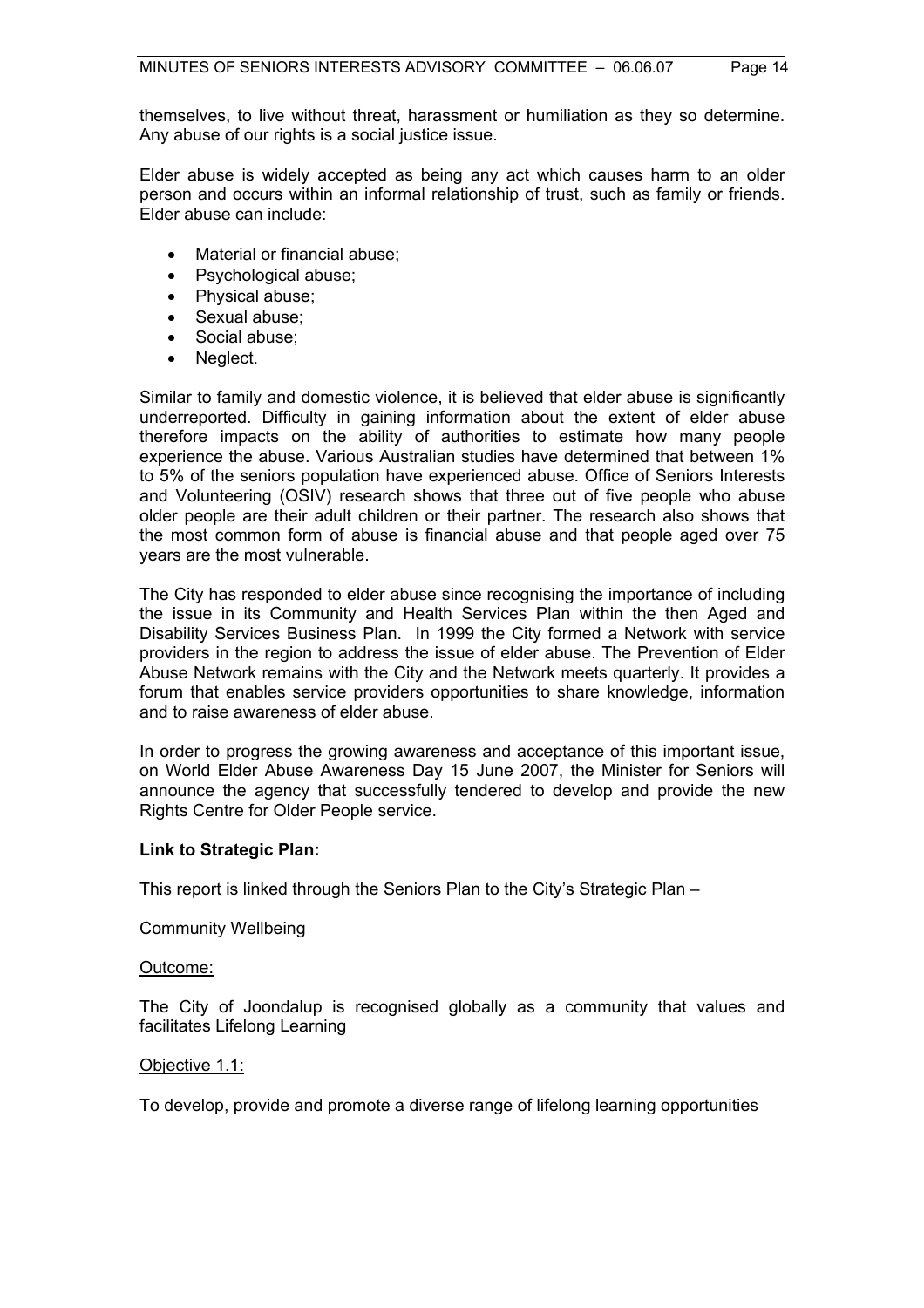Elder abuse is widely accepted as being any act which causes harm to an older person and occurs within an informal relationship of trust, such as family or friends. Elder abuse can include:

- Material or financial abuse;
- Psychological abuse:
- Physical abuse;
- Sexual abuse;
- Social abuse;
- Neglect.

Similar to family and domestic violence, it is believed that elder abuse is significantly underreported. Difficulty in gaining information about the extent of elder abuse therefore impacts on the ability of authorities to estimate how many people experience the abuse. Various Australian studies have determined that between 1% to 5% of the seniors population have experienced abuse. Office of Seniors Interests and Volunteering (OSIV) research shows that three out of five people who abuse older people are their adult children or their partner. The research also shows that the most common form of abuse is financial abuse and that people aged over 75 years are the most vulnerable.

The City has responded to elder abuse since recognising the importance of including the issue in its Community and Health Services Plan within the then Aged and Disability Services Business Plan. In 1999 the City formed a Network with service providers in the region to address the issue of elder abuse. The Prevention of Elder Abuse Network remains with the City and the Network meets quarterly. It provides a forum that enables service providers opportunities to share knowledge, information and to raise awareness of elder abuse.

In order to progress the growing awareness and acceptance of this important issue, on World Elder Abuse Awareness Day 15 June 2007, the Minister for Seniors will announce the agency that successfully tendered to develop and provide the new Rights Centre for Older People service.

#### **Link to Strategic Plan:**

This report is linked through the Seniors Plan to the City's Strategic Plan –

Community Wellbeing

#### Outcome:

The City of Joondalup is recognised globally as a community that values and facilitates Lifelong Learning

#### Objective 1.1:

To develop, provide and promote a diverse range of lifelong learning opportunities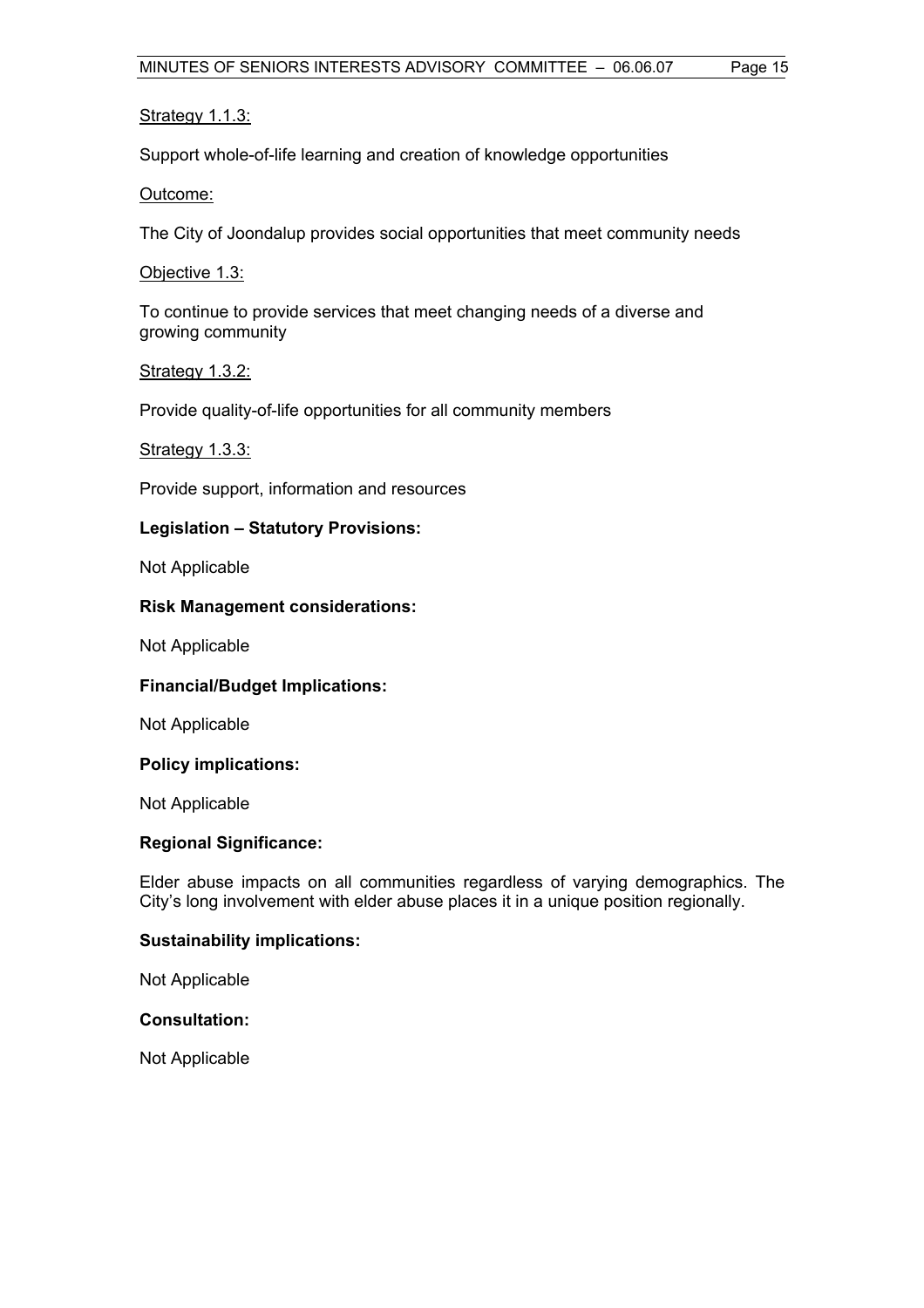#### Strategy 1.1.3:

Support whole-of-life learning and creation of knowledge opportunities

#### Outcome:

The City of Joondalup provides social opportunities that meet community needs

#### Objective 1.3:

To continue to provide services that meet changing needs of a diverse and growing community

#### Strategy 1.3.2:

Provide quality-of-life opportunities for all community members

#### Strategy 1.3.3:

Provide support, information and resources

#### **Legislation – Statutory Provisions:**

Not Applicable

#### **Risk Management considerations:**

Not Applicable

#### **Financial/Budget Implications:**

Not Applicable

#### **Policy implications:**

Not Applicable

#### **Regional Significance:**

Elder abuse impacts on all communities regardless of varying demographics. The City's long involvement with elder abuse places it in a unique position regionally.

#### **Sustainability implications:**

Not Applicable

#### **Consultation:**

Not Applicable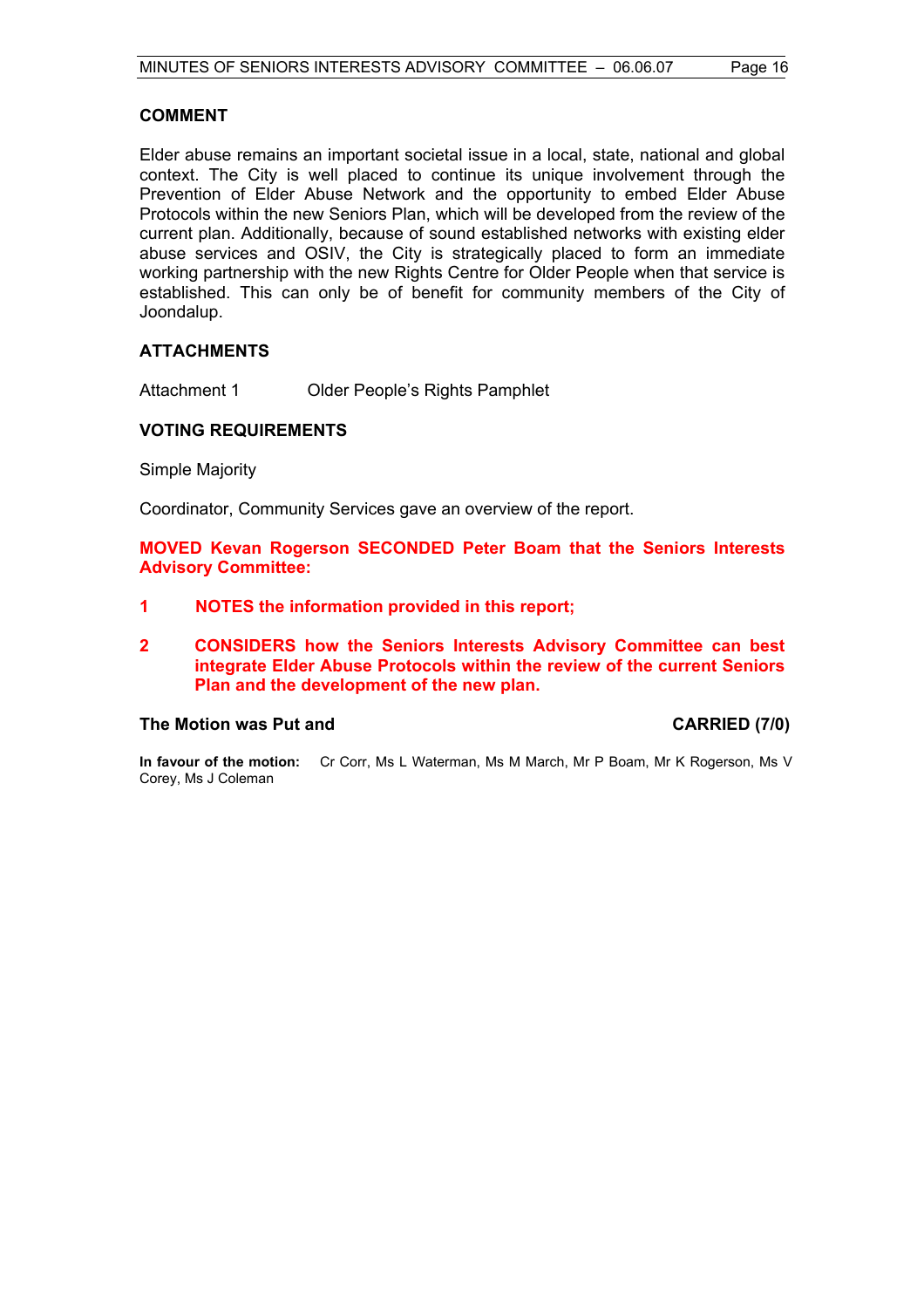#### **COMMENT**

Elder abuse remains an important societal issue in a local, state, national and global context. The City is well placed to continue its unique involvement through the Prevention of Elder Abuse Network and the opportunity to embed Elder Abuse Protocols within the new Seniors Plan, which will be developed from the review of the current plan. Additionally, because of sound established networks with existing elder abuse services and OSIV, the City is strategically placed to form an immediate working partnership with the new Rights Centre for Older People when that service is established. This can only be of benefit for community members of the City of Joondalup.

#### **ATTACHMENTS**

Attachment 1 Older People's Rights Pamphlet

#### **VOTING REQUIREMENTS**

Simple Majority

Coordinator, Community Services gave an overview of the report.

**MOVED Kevan Rogerson SECONDED Peter Boam that the Seniors Interests Advisory Committee:** 

- **1 NOTES the information provided in this report;**
- **2 CONSIDERS how the Seniors Interests Advisory Committee can best integrate Elder Abuse Protocols within the review of the current Seniors Plan and the development of the new plan.**

#### **The Motion was Put and CARRIED (7/0)**

**In favour of the motion:** Cr Corr, Ms L Waterman, Ms M March, Mr P Boam, Mr K Rogerson, Ms V Corey, Ms J Coleman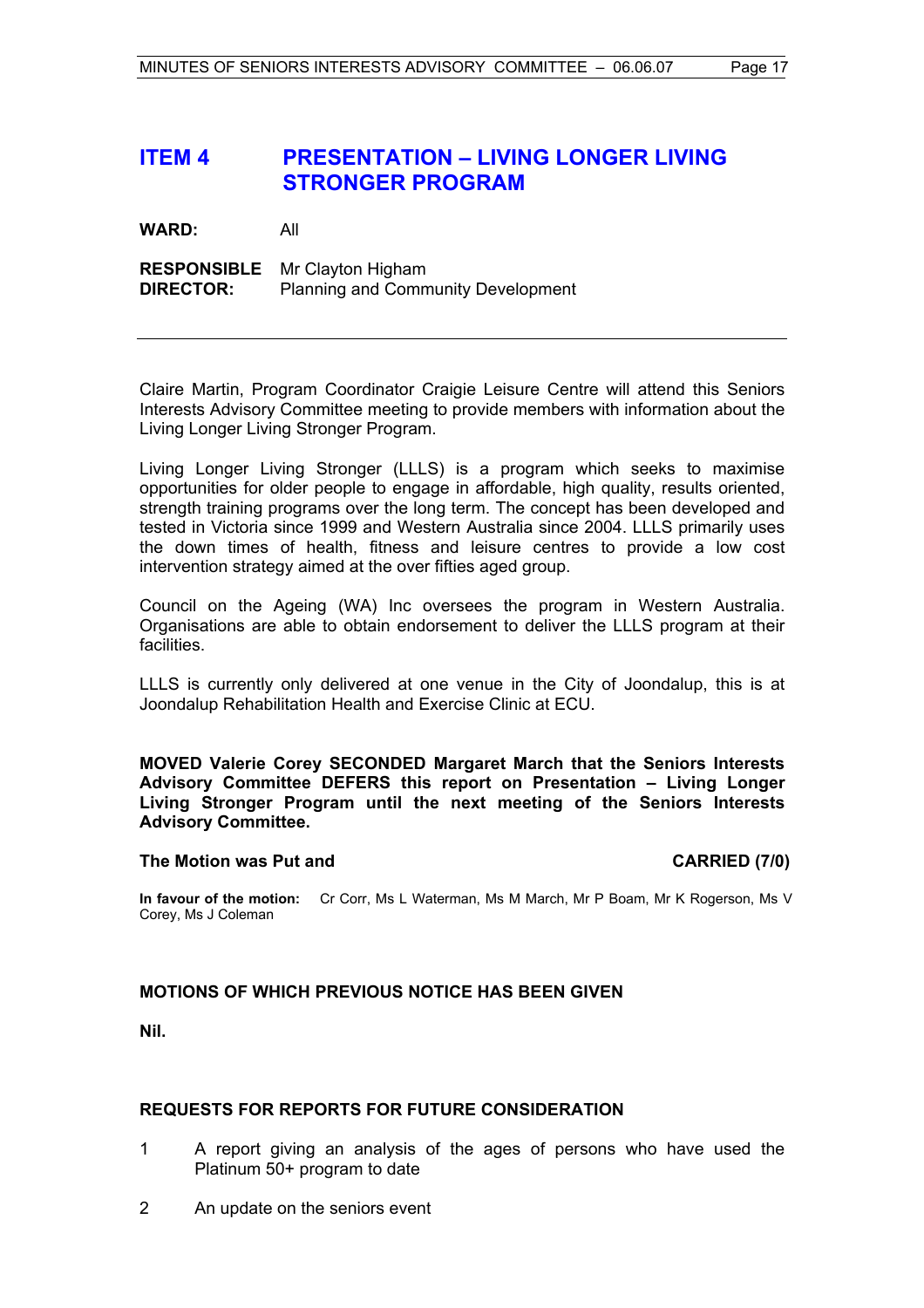## **ITEM 4 PRESENTATION – LIVING LONGER LIVING STRONGER PROGRAM**

**WARD:** All

**RESPONSIBLE** Mr Clayton Higham **DIRECTOR:** Planning and Community Development

Claire Martin, Program Coordinator Craigie Leisure Centre will attend this Seniors Interests Advisory Committee meeting to provide members with information about the Living Longer Living Stronger Program.

Living Longer Living Stronger (LLLS) is a program which seeks to maximise opportunities for older people to engage in affordable, high quality, results oriented, strength training programs over the long term. The concept has been developed and tested in Victoria since 1999 and Western Australia since 2004. LLLS primarily uses the down times of health, fitness and leisure centres to provide a low cost intervention strategy aimed at the over fifties aged group.

Council on the Ageing (WA) Inc oversees the program in Western Australia. Organisations are able to obtain endorsement to deliver the LLLS program at their facilities.

LLLS is currently only delivered at one venue in the City of Joondalup, this is at Joondalup Rehabilitation Health and Exercise Clinic at ECU.

**MOVED Valerie Corey SECONDED Margaret March that the Seniors Interests Advisory Committee DEFERS this report on Presentation – Living Longer Living Stronger Program until the next meeting of the Seniors Interests Advisory Committee.** 

#### **The Motion was Put and CARRIED (7/0) CARRIED** (7/0)

**In favour of the motion:** Cr Corr, Ms L Waterman, Ms M March, Mr P Boam, Mr K Rogerson, Ms V Corey, Ms J Coleman

#### **MOTIONS OF WHICH PREVIOUS NOTICE HAS BEEN GIVEN**

**Nil.** 

#### **REQUESTS FOR REPORTS FOR FUTURE CONSIDERATION**

- 1 A report giving an analysis of the ages of persons who have used the Platinum 50+ program to date
- 2 An update on the seniors event